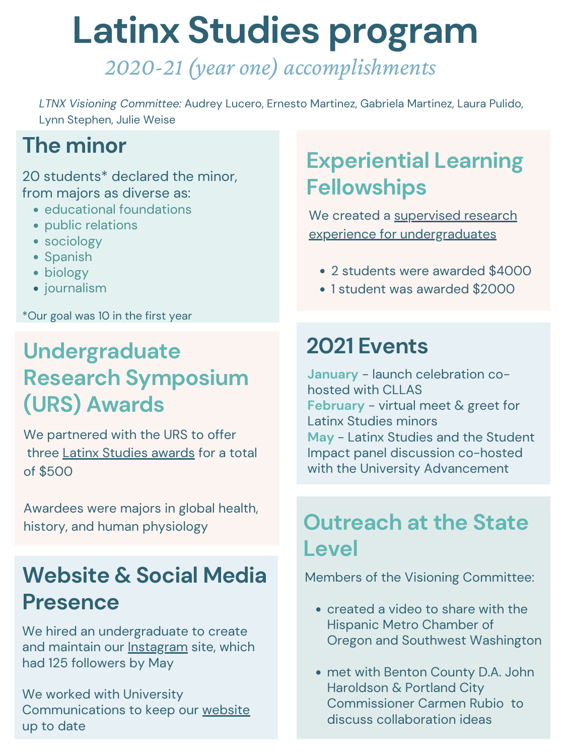### **Experiential Learning Fellowships**

**January** - launch celebration cohosted with CLLAS **February** - virtual meet & greet for Latinx Studies minors **May** - Latinx Studies and the Student Impact panel discussion co-hosted with the University Advancement

- created a video to share with the Hispanic Metro Chamber of Oregon and Southwest Washington
- met with Benton County D.A. John Haroldson & Portland City Commissioner Carmen Rubio to discuss collaboration ideas

### **2021 Events**

### **Outreach at the State Level**

## Website & Social Media Members of the Visioning Committee: **Presence**

We created a supervised research experience for [undergraduates](http://t.ly/F02G)

We hired an undergraduate to create and maintain our **[Instagram](https://www.instagram.com/uo.ltnx/)** site, which had 125 followers by May

We worked with University Communications to keep our [website](https://latinxstudies.uoregon.edu/) up to date

## **The minor**

20 students\* declared the minor, from majors as diverse as:

- **educational foundations**
- public relations
- sociology
- Spanish
- biology
- **•** journalism

\*Our goal was 10 in the first year

## **Undergraduate Research Symposium**

### **(URS) Awards**

## *2020-21 (year one) accomplishments* **Latinx Studies program**

- 2 students were awarded \$4000
- 1 student was awarded \$2000

Awardees were majors in global health, history, and human physiology

We partnered with the URS to offer three Latinx [Studies](https://undergradsymposium.uoregon.edu/awards) awards for a total of \$500

*LTNX Visioning Committee:* Audrey Lucero, Ernesto Martinez, Gabriela Martinez, Laura Pulido, Lynn Stephen, Julie Weise